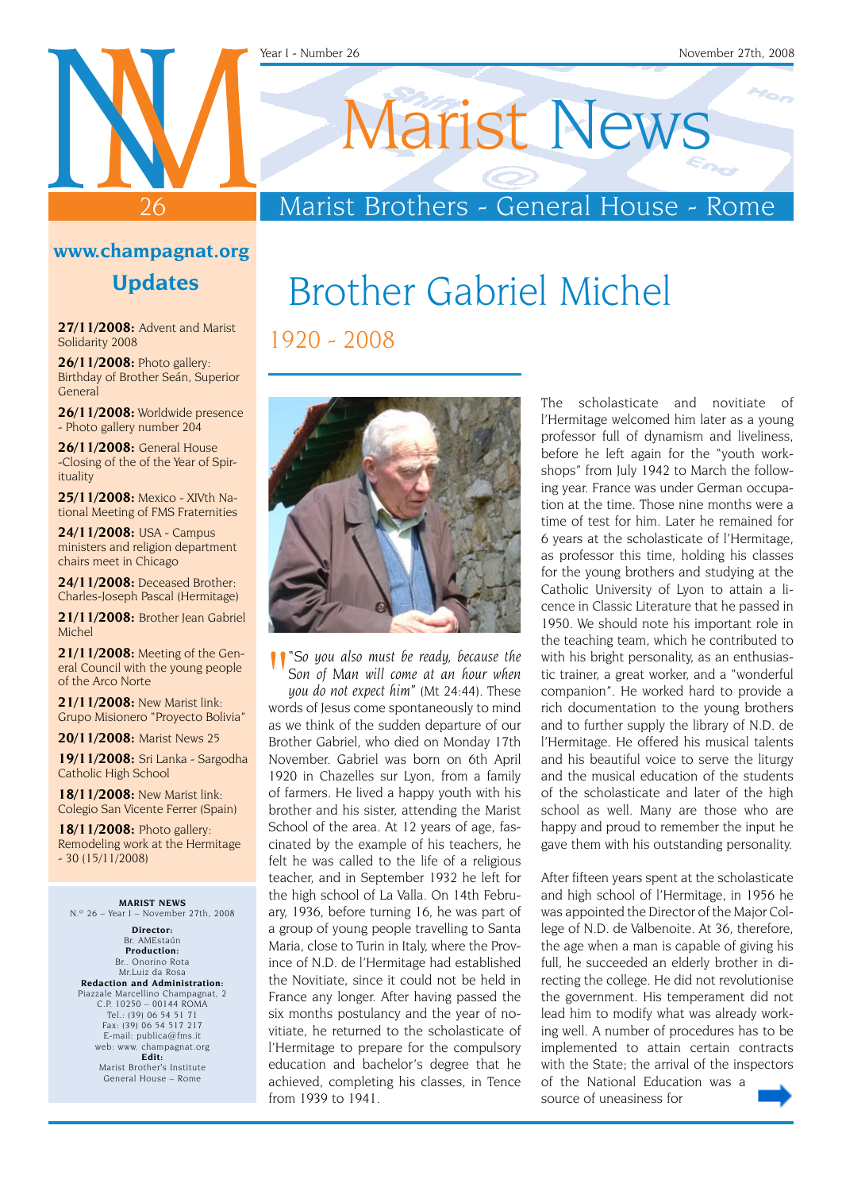#### Year I - Number 26 November 27th, 2008

1920 - 2008

26

## Marist Brothers - General House - Rome

Brother Gabriel Michel

Marist News

#### **www.champagnat.org**

**Updates**

**27/11/2008:** Advent and Marist Solidarity 2008

**26/11/2008:** Photo gallery: Birthday of Brother Seán, Superior General

**26/11/2008:** Worldwide presence - Photo gallery number 204

**26/11/2008:** General House -Closing of the of the Year of Spirituality

**25/11/2008:** Mexico - XIVth National Meeting of FMS Fraternities

**24/11/2008:** USA - Campus ministers and religion department chairs meet in Chicago

**24/11/2008:** Deceased Brother: Charles-Joseph Pascal (Hermitage)

**21/11/2008:** Brother Jean Gabriel Michel

**21/11/2008:** Meeting of the General Council with the young people of the Arco Norte

**21/11/2008:** New Marist link: Grupo Misionero "Proyecto Bolivia"

**20/11/2008:** Marist News 25

**19/11/2008:** Sri Lanka - Sargodha Catholic High School

**18/11/2008:** New Marist link: Colegio San Vicente Ferrer (Spain)

**18/11/2008:** Photo gallery: Remodeling work at the Hermitage  $-30$  (15/11/2008)

**MARIST NEWS** N.º 26 – Year I – November 27th, 2008

**Director:** Br. AMEstaún **Production:** Br.. Onorino Rota Mr.Luiz da Rosa **Redaction and Administration:** Piazzale Marcellino Champagnat, 2 C.P. 10250 – 00144 ROMA Tel.: (39) 06 54 51 71 Fax: (39) 06 54 517 217 E-mail: publica@fms.it web: www. champagnat.org **Edit:** Marist Brother's Institute General House – Rome



*" "So you also must be ready, because the <br>Son of Man will come at an hour when<br>you do not expect him" (Mt 24:44). These Son of Man will come at an hour when you do not expect him"* (Mt 24:44). These words of Jesus come spontaneously to mind as we think of the sudden departure of our Brother Gabriel, who died on Monday 17th November. Gabriel was born on 6th April 1920 in Chazelles sur Lyon, from a family of farmers. He lived a happy youth with his brother and his sister, attending the Marist School of the area. At 12 years of age, fascinated by the example of his teachers, he felt he was called to the life of a religious teacher, and in September 1932 he left for the high school of La Valla. On 14th February, 1936, before turning 16, he was part of a group of young people travelling to Santa Maria, close to Turin in Italy, where the Province of N.D. de l'Hermitage had established the Novitiate, since it could not be held in France any longer. After having passed the six months postulancy and the year of novitiate, he returned to the scholasticate of l'Hermitage to prepare for the compulsory education and bachelor's degree that he achieved, completing his classes, in Tence from 1939 to 1941.

The scholasticate and novitiate of l'Hermitage welcomed him later as a young professor full of dynamism and liveliness, before he left again for the "youth workshops" from July 1942 to March the following year. France was under German occupation at the time. Those nine months were a time of test for him. Later he remained for 6 years at the scholasticate of l'Hermitage, as professor this time, holding his classes for the young brothers and studying at the Catholic University of Lyon to attain a licence in Classic Literature that he passed in 1950. We should note his important role in the teaching team, which he contributed to with his bright personality, as an enthusiastic trainer, a great worker, and a "wonderful companion". He worked hard to provide a rich documentation to the young brothers and to further supply the library of N.D. de l'Hermitage. He offered his musical talents and his beautiful voice to serve the liturgy and the musical education of the students of the scholasticate and later of the high school as well. Many are those who are happy and proud to remember the input he gave them with his outstanding personality.

After fifteen years spent at the scholasticate and high school of l'Hermitage, in 1956 he was appointed the Director of the Major College of N.D. de Valbenoite. At 36, therefore, the age when a man is capable of giving his full, he succeeded an elderly brother in directing the college. He did not revolutionise the government. His temperament did not lead him to modify what was already working well. A number of procedures has to be implemented to attain certain contracts with the State; the arrival of the inspectors of the National Education was a source of uneasiness for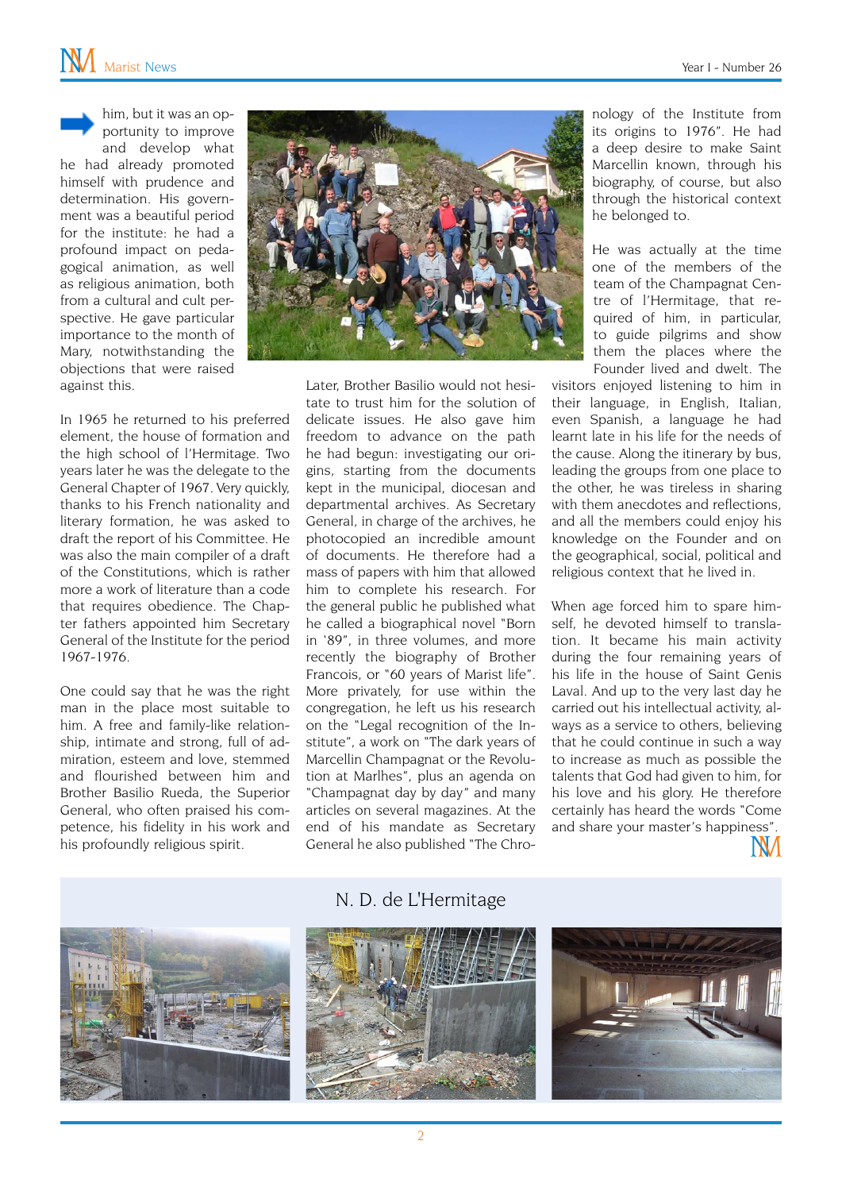him, but it was an opportunity to improve and develop what he had already promoted himself with prudence and determination. His government was a beautiful period for the institute: he had a profound impact on pedagogical animation, as well as religious animation, both from a cultural and cult perspective. He gave particular importance to the month of Mary, notwithstanding the objections that were raised against this.



In 1965 he returned to his preferred element, the house of formation and the high school of l'Hermitage. Two years later he was the delegate to the General Chapter of 1967. Very quickly, thanks to his French nationality and literary formation, he was asked to draft the report of his Committee. He was also the main compiler of a draft of the Constitutions, which is rather more a work of literature than a code that requires obedience. The Chapter fathers appointed him Secretary General of the Institute for the period 1967-1976.

One could say that he was the right man in the place most suitable to him. A free and family-like relationship, intimate and strong, full of admiration, esteem and love, stemmed and flourished between him and Brother Basilio Rueda, the Superior General, who often praised his competence, his fidelity in his work and his profoundly religious spirit.

Later, Brother Basilio would not hesitate to trust him for the solution of delicate issues. He also gave him freedom to advance on the path he had begun: investigating our origins, starting from the documents kept in the municipal, diocesan and departmental archives. As Secretary General, in charge of the archives, he photocopied an incredible amount of documents. He therefore had a mass of papers with him that allowed him to complete his research. For the general public he published what he called a biographical novel "Born in '89", in three volumes, and more recently the biography of Brother Francois, or "60 years of Marist life". More privately, for use within the congregation, he left us his research on the "Legal recognition of the Institute", a work on "The dark years of Marcellin Champagnat or the Revolution at Marlhes", plus an agenda on "Champagnat day by day" and many articles on several magazines. At the end of his mandate as Secretary General he also published "The Chronology of the Institute from its origins to 1976". He had a deep desire to make Saint Marcellin known, through his biography, of course, but also through the historical context he belonged to.

He was actually at the time one of the members of the team of the Champagnat Centre of l'Hermitage, that required of him, in particular, to guide pilgrims and show them the places where the Founder lived and dwelt. The

visitors enjoyed listening to him in their language, in English, Italian, even Spanish, a language he had learnt late in his life for the needs of the cause. Along the itinerary by bus, leading the groups from one place to the other, he was tireless in sharing with them anecdotes and reflections, and all the members could enjoy his knowledge on the Founder and on the geographical, social, political and religious context that he lived in.

When age forced him to spare himself, he devoted himself to translation. It became his main activity during the four remaining years of his life in the house of Saint Genis Laval. And up to the very last day he carried out his intellectual activity, always as a service to others, believing that he could continue in such a way to increase as much as possible the talents that God had given to him, for his love and his glory. He therefore certainly has heard the words "Come and share your master's happiness".





#### N. D. de L'Hermitage



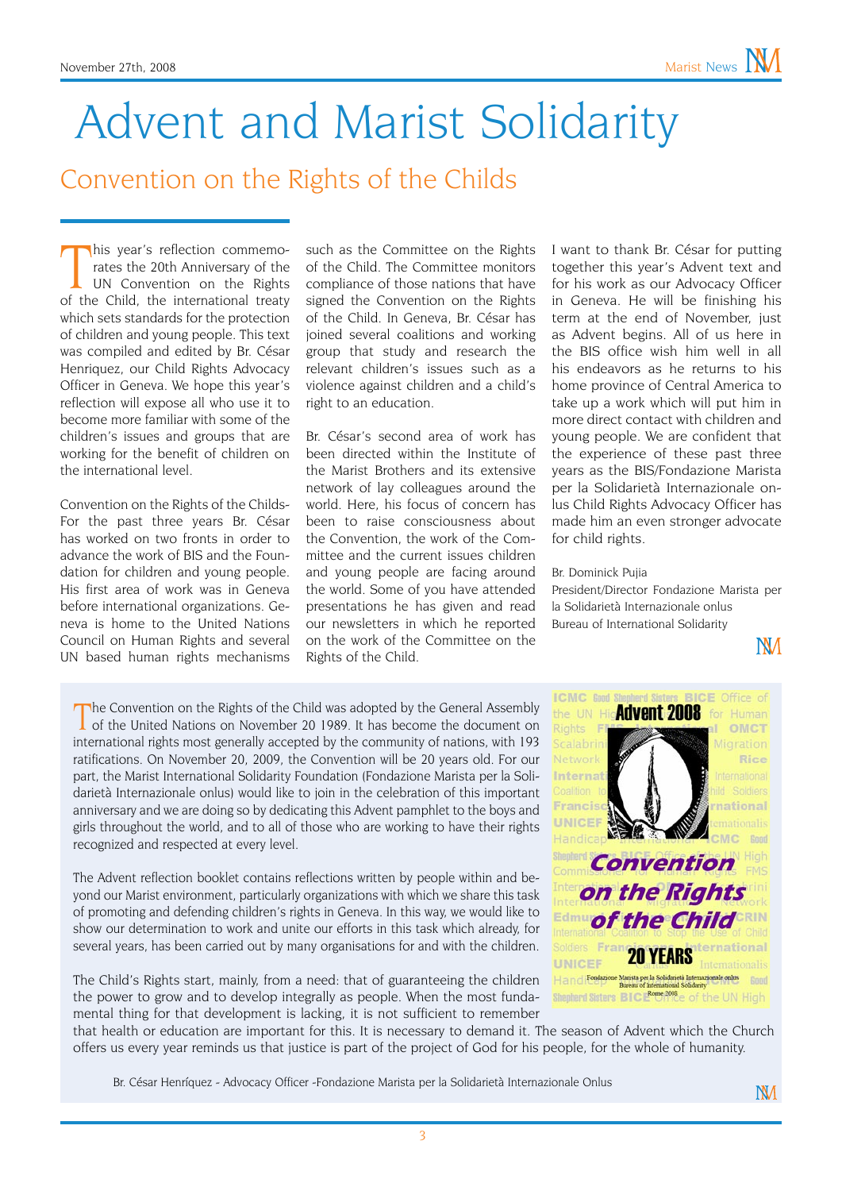# Advent and Marist Solidarity

## Convention on the Rights of the Childs

This year's reflection commemorates the 20th Anniversary of the UN Convention on the Rights of the Child, the international treaty his year's reflection commemorates the 20th Anniversary of the UN Convention on the Rights which sets standards for the protection of children and young people. This text was compiled and edited by Br. César Henriquez, our Child Rights Advocacy Officer in Geneva. We hope this year's reflection will expose all who use it to become more familiar with some of the children's issues and groups that are working for the benefit of children on the international level.

Convention on the Rights of the Childs-For the past three years Br. César has worked on two fronts in order to advance the work of BIS and the Foundation for children and young people. His first area of work was in Geneva before international organizations. Geneva is home to the United Nations Council on Human Rights and several UN based human rights mechanisms such as the Committee on the Rights of the Child. The Committee monitors compliance of those nations that have signed the Convention on the Rights of the Child. In Geneva, Br. César has joined several coalitions and working group that study and research the relevant children's issues such as a violence against children and a child's right to an education.

Br. César's second area of work has been directed within the Institute of the Marist Brothers and its extensive network of lay colleagues around the world. Here, his focus of concern has been to raise consciousness about the Convention, the work of the Committee and the current issues children and young people are facing around the world. Some of you have attended presentations he has given and read our newsletters in which he reported on the work of the Committee on the Rights of the Child.

I want to thank Br. César for putting together this year's Advent text and for his work as our Advocacy Officer in Geneva. He will be finishing his term at the end of November, just as Advent begins. All of us here in the BIS office wish him well in all his endeavors as he returns to his home province of Central America to take up a work which will put him in more direct contact with children and young people. We are confident that the experience of these past three years as the BIS/Fondazione Marista per la Solidarietà Internazionale onlus Child Rights Advocacy Officer has made him an even stronger advocate for child rights.

#### Br. Dominick Pujia

President/Director Fondazione Marista per la Solidarietà Internazionale onlus Bureau of International Solidarity

**NM** 

The Convention on the Rights of the Child was adopted by the General Assembly of the United Nations on November 20 1989. It has become the document on international rights most generally accepted by the community of nations, with 193 ratifications. On November 20, 2009, the Convention will be 20 years old. For our part, the Marist International Solidarity Foundation (Fondazione Marista per la Solidarietà Internazionale onlus) would like to join in the celebration of this important anniversary and we are doing so by dedicating this Advent pamphlet to the boys and girls throughout the world, and to all of those who are working to have their rights recognized and respected at every level.

The Advent reflection booklet contains reflections written by people within and beyond our Marist environment, particularly organizations with which we share this task of promoting and defending children's rights in Geneva. In this way, we would like to show our determination to work and unite our efforts in this task which already, for several years, has been carried out by many organisations for and with the children.

The Child's Rights start, mainly, from a need: that of guaranteeing the children the power to grow and to develop integrally as people. When the most fundamental thing for that development is lacking, it is not sufficient to remember



that health or education are important for this. It is necessary to demand it. The season of Advent which the Church offers us every year reminds us that justice is part of the project of God for his people, for the whole of humanity.

Br. César Henríquez - Advocacy Officer -Fondazione Marista per la Solidarietà Internazionale Onlus